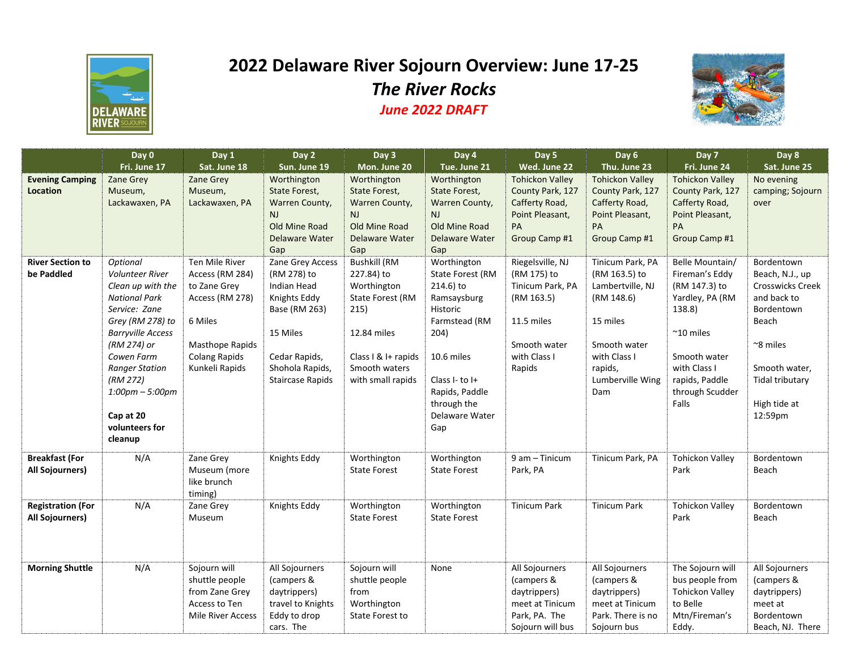

## **2022 Delaware River Sojourn Overview: June 17-25** *The River Rocks June 2022 DRAFT*



|                                                 | Day 0<br>Fri. June 17                                                                                                                                                                                                                                                                | Day 1<br>Sat. June 18                                                                                                                        | Day 2<br>Sun. June 19                                                                                                                                      | Day 3<br>Mon. June 20                                                                                                                                    | Day 4<br>Tue. June 21                                                                                                                                                                             | Day 5<br>Wed. June 22                                                                                                     | Day 6<br>Thu. June 23                                                                                                                                 | Day 7<br>Fri. June 24                                                                                                                                                                | Day 8<br>Sat. June 25                                                                                                                                                     |
|-------------------------------------------------|--------------------------------------------------------------------------------------------------------------------------------------------------------------------------------------------------------------------------------------------------------------------------------------|----------------------------------------------------------------------------------------------------------------------------------------------|------------------------------------------------------------------------------------------------------------------------------------------------------------|----------------------------------------------------------------------------------------------------------------------------------------------------------|---------------------------------------------------------------------------------------------------------------------------------------------------------------------------------------------------|---------------------------------------------------------------------------------------------------------------------------|-------------------------------------------------------------------------------------------------------------------------------------------------------|--------------------------------------------------------------------------------------------------------------------------------------------------------------------------------------|---------------------------------------------------------------------------------------------------------------------------------------------------------------------------|
| <b>Evening Camping</b><br><b>Location</b>       | <b>Zane Grey</b><br>Museum,<br>Lackawaxen, PA                                                                                                                                                                                                                                        | <b>Zane Grey</b><br>Museum,<br>Lackawaxen, PA                                                                                                | Worthington<br>State Forest,<br>Warren County,<br>NJ<br>Old Mine Road<br><b>Delaware Water</b><br>Gap                                                      | Worthington<br>State Forest,<br>Warren County,<br>NJ.<br>Old Mine Road<br><b>Delaware Water</b><br>Gap                                                   | Worthington<br>State Forest,<br>Warren County,<br><b>NJ</b><br>Old Mine Road<br><b>Delaware Water</b><br>Gap                                                                                      | <b>Tohickon Valley</b><br>County Park, 127<br>Cafferty Road,<br>Point Pleasant,<br>PA<br>Group Camp #1                    | <b>Tohickon Valley</b><br>County Park, 127<br>Cafferty Road,<br>Point Pleasant,<br>PA<br>Group Camp #1                                                | <b>Tohickon Valley</b><br>County Park, 127<br>Cafferty Road,<br>Point Pleasant,<br>PA<br>Group Camp #1                                                                               | No evening<br>camping; Sojourn<br>over                                                                                                                                    |
| <b>River Section to</b><br>be Paddled           | Optional<br><b>Volunteer River</b><br>Clean up with the<br><b>National Park</b><br>Service: Zane<br>Grey (RM 278) to<br><b>Barryville Access</b><br>(RM 274) or<br>Cowen Farm<br><b>Ranger Station</b><br>(RM 272)<br>$1:00$ pm $-5:00$ pm<br>Cap at 20<br>volunteers for<br>cleanup | Ten Mile River<br>Access (RM 284)<br>to Zane Grey<br>Access (RM 278)<br>6 Miles<br>Masthope Rapids<br><b>Colang Rapids</b><br>Kunkeli Rapids | Zane Grey Access<br>(RM 278) to<br>Indian Head<br>Knights Eddy<br>Base (RM 263)<br>15 Miles<br>Cedar Rapids,<br>Shohola Rapids,<br><b>Staircase Rapids</b> | <b>Bushkill (RM</b><br>227.84) to<br>Worthington<br>State Forest (RM<br>215)<br>12.84 miles<br>Class I & I+ rapids<br>Smooth waters<br>with small rapids | Worthington<br><b>State Forest (RM</b><br>214.6) to<br>Ramsaysburg<br>Historic<br>Farmstead (RM<br>204)<br>10.6 miles<br>Class I- to I+<br>Rapids, Paddle<br>through the<br>Delaware Water<br>Gap | Riegelsville, NJ<br>(RM 175) to<br>Tinicum Park, PA<br>(RM 163.5)<br>11.5 miles<br>Smooth water<br>with Class I<br>Rapids | Tinicum Park, PA<br>(RM 163.5) to<br>Lambertville, NJ<br>(RM 148.6)<br>15 miles<br>Smooth water<br>with Class I<br>rapids,<br>Lumberville Wing<br>Dam | Belle Mountain/<br>Fireman's Eddy<br>(RM 147.3) to<br>Yardley, PA (RM<br>138.8)<br>$~^{\sim}$ 10 miles<br>Smooth water<br>with Class I<br>rapids, Paddle<br>through Scudder<br>Falls | Bordentown<br>Beach, N.J., up<br>Crosswicks Creek<br>and back to<br>Bordentown<br>Beach<br>~8 miles<br>Smooth water,<br><b>Tidal tributary</b><br>High tide at<br>12:59pm |
| <b>Breakfast (For</b><br><b>All Sojourners)</b> | N/A                                                                                                                                                                                                                                                                                  | Zane Grey<br>Museum (more<br>like brunch<br>timing)                                                                                          | Knights Eddy                                                                                                                                               | Worthington<br><b>State Forest</b>                                                                                                                       | Worthington<br><b>State Forest</b>                                                                                                                                                                | 9 am - Tinicum<br>Park, PA                                                                                                | Tinicum Park, PA                                                                                                                                      | <b>Tohickon Valley</b><br>Park                                                                                                                                                       | Bordentown<br>Beach                                                                                                                                                       |
| <b>Registration (For</b><br>All Sojourners)     | N/A                                                                                                                                                                                                                                                                                  | Zane Grey<br>Museum                                                                                                                          | Knights Eddy                                                                                                                                               | Worthington<br><b>State Forest</b>                                                                                                                       | Worthington<br><b>State Forest</b>                                                                                                                                                                | <b>Tinicum Park</b>                                                                                                       | <b>Tinicum Park</b>                                                                                                                                   | <b>Tohickon Valley</b><br>Park                                                                                                                                                       | Bordentown<br>Beach                                                                                                                                                       |
| <b>Morning Shuttle</b>                          | N/A                                                                                                                                                                                                                                                                                  | Sojourn will<br>shuttle people<br>from Zane Grey<br>Access to Ten<br><b>Mile River Access</b>                                                | All Sojourners<br>(campers &<br>daytrippers)<br>travel to Knights<br>Eddy to drop<br>cars. The                                                             | Sojourn will<br>shuttle people<br>from<br>Worthington<br>State Forest to                                                                                 | None                                                                                                                                                                                              | All Sojourners<br>(campers &<br>daytrippers)<br>meet at Tinicum<br>Park, PA. The<br>Sojourn will bus                      | All Sojourners<br>(campers &<br>daytrippers)<br>meet at Tinicum<br>Park. There is no<br>Sojourn bus                                                   | The Sojourn will<br>bus people from<br><b>Tohickon Valley</b><br>to Belle<br>Mtn/Fireman's<br>Eddy.                                                                                  | All Sojourners<br>(campers &<br>daytrippers)<br>meet at<br>Bordentown<br>Beach, NJ. There                                                                                 |